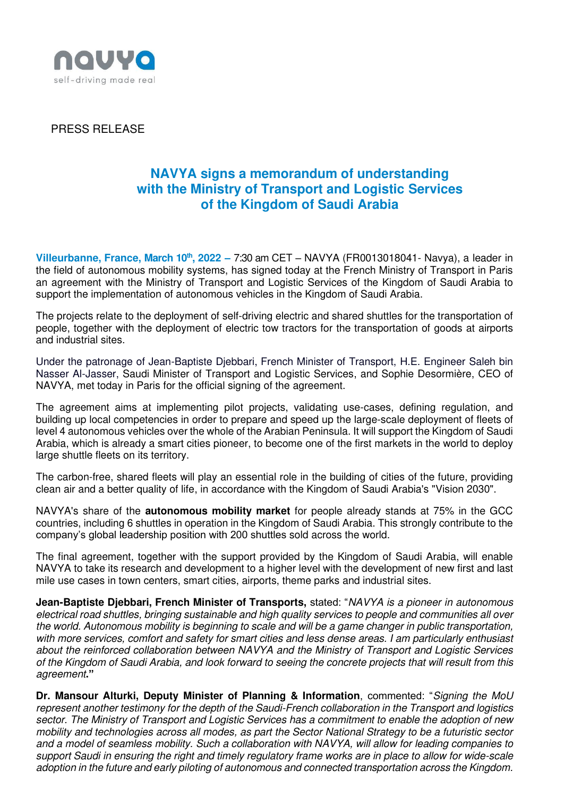

PRESS RELEASE

## **NAVYA signs a memorandum of understanding with the Ministry of Transport and Logistic Services of the Kingdom of Saudi Arabia**

**Villeurbanne, France, March 10th , 2022 –** 7:30 am CET – NAVYA (FR0013018041- Navya), a leader in the field of autonomous mobility systems, has signed today at the French Ministry of Transport in Paris an agreement with the Ministry of Transport and Logistic Services of the Kingdom of Saudi Arabia to support the implementation of autonomous vehicles in the Kingdom of Saudi Arabia.

The projects relate to the deployment of self-driving electric and shared shuttles for the transportation of people, together with the deployment of electric tow tractors for the transportation of goods at airports and industrial sites.

Under the patronage of Jean-Baptiste Djebbari, French Minister of Transport, H.E. Engineer Saleh bin Nasser Al-Jasser, Saudi Minister of Transport and Logistic Services, and Sophie Desormière, CEO of NAVYA, met today in Paris for the official signing of the agreement.

The agreement aims at implementing pilot projects, validating use-cases, defining regulation, and building up local competencies in order to prepare and speed up the large-scale deployment of fleets of level 4 autonomous vehicles over the whole of the Arabian Peninsula. It will support the Kingdom of Saudi Arabia, which is already a smart cities pioneer, to become one of the first markets in the world to deploy large shuttle fleets on its territory.

The carbon-free, shared fleets will play an essential role in the building of cities of the future, providing clean air and a better quality of life, in accordance with the Kingdom of Saudi Arabia's "Vision 2030".

NAVYA's share of the **autonomous mobility market** for people already stands at 75% in the GCC countries, including 6 shuttles in operation in the Kingdom of Saudi Arabia. This strongly contribute to the company's global leadership position with 200 shuttles sold across the world.

The final agreement, together with the support provided by the Kingdom of Saudi Arabia, will enable NAVYA to take its research and development to a higher level with the development of new first and last mile use cases in town centers, smart cities, airports, theme parks and industrial sites.

**Jean-Baptiste Djebbari, French Minister of Transports,** stated: "NAVYA is a pioneer in autonomous electrical road shuttles, bringing sustainable and high quality services to people and communities all over the world. Autonomous mobility is beginning to scale and will be a game changer in public transportation, with more services, comfort and safety for smart cities and less dense areas. I am particularly enthusiast about the reinforced collaboration between NAVYA and the Ministry of Transport and Logistic Services of the Kingdom of Saudi Arabia, and look forward to seeing the concrete projects that will result from this agreement**."**

**Dr. Mansour Alturki, Deputy Minister of Planning & Information**, commented: "Signing the MoU represent another testimony for the depth of the Saudi-French collaboration in the Transport and logistics sector. The Ministry of Transport and Logistic Services has a commitment to enable the adoption of new mobility and technologies across all modes, as part the Sector National Strategy to be a futuristic sector and a model of seamless mobility. Such a collaboration with NAVYA, will allow for leading companies to support Saudi in ensuring the right and timely regulatory frame works are in place to allow for wide-scale adoption in the future and early piloting of autonomous and connected transportation across the Kingdom.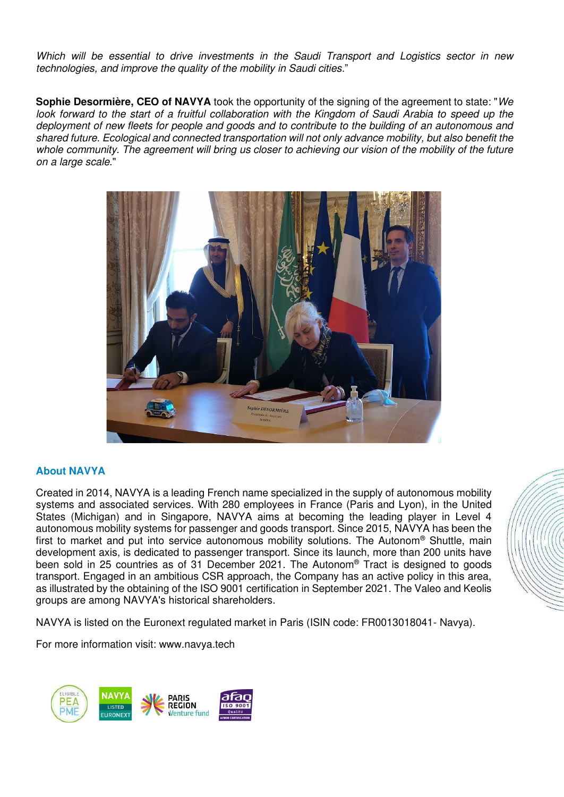Which will be essential to drive investments in the Saudi Transport and Logistics sector in new technologies, and improve the quality of the mobility in Saudi cities."

**Sophie Desormière, CEO of NAVYA** took the opportunity of the signing of the agreement to state: "We look forward to the start of a fruitful collaboration with the Kingdom of Saudi Arabia to speed up the deployment of new fleets for people and goods and to contribute to the building of an autonomous and shared future. Ecological and connected transportation will not only advance mobility, but also benefit the whole community. The agreement will bring us closer to achieving our vision of the mobility of the future on a large scale."



## **About NAVYA**

Created in 2014, NAVYA is a leading French name specialized in the supply of autonomous mobility systems and associated services. With 280 employees in France (Paris and Lyon), in the United States (Michigan) and in Singapore, NAVYA aims at becoming the leading player in Level 4 autonomous mobility systems for passenger and goods transport. Since 2015, NAVYA has been the first to market and put into service autonomous mobility solutions. The Autonom® Shuttle, main development axis, is dedicated to passenger transport. Since its launch, more than 200 units have been sold in 25 countries as of 31 December 2021. The Autonom® Tract is designed to goods transport. Engaged in an ambitious CSR approach, the Company has an active policy in this area, as illustrated by the obtaining of the ISO 9001 certification in September 2021. The Valeo and Keolis groups are among NAVYA's historical shareholders.

NAVYA is listed on the Euronext regulated market in Paris (ISIN code: FR0013018041- Navya).

For more information visit: www.navya.tech